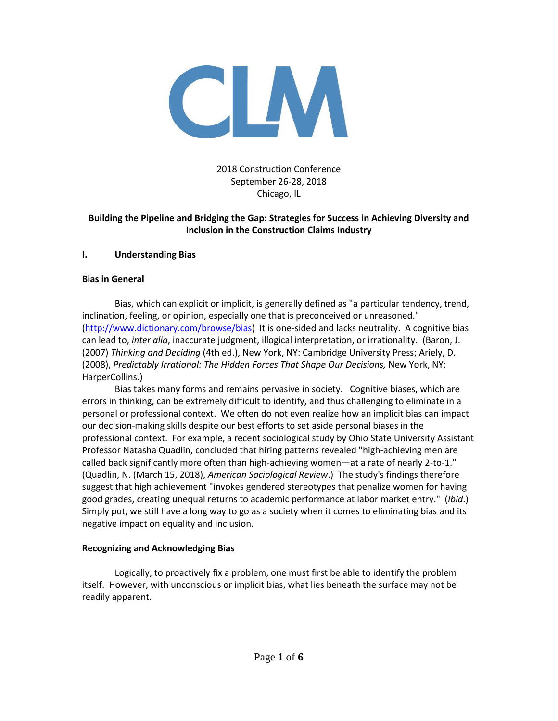

# 2018 Construction Conference September 26-28, 2018 Chicago, IL

## **Building the Pipeline and Bridging the Gap: Strategies for Success in Achieving Diversity and Inclusion in the Construction Claims Industry**

#### **I. Understanding Bias**

#### **Bias in General**

Bias, which can explicit or implicit, is generally defined as "a particular tendency, trend, inclination, feeling, or opinion, especially one that is preconceived or unreasoned." [\(http://www.dictionary.com/browse/bias\)](http://www.dictionary.com/browse/bias) It is one-sided and lacks neutrality. A cognitive bias can lead to, *inter alia*, inaccurate judgment, illogical interpretation, or irrationality. (Baron, J. (2007) *Thinking and Deciding* (4th ed.), New York, NY: Cambridge University Press; Ariely, D. (2008), *Predictably Irrational: The Hidden Forces That Shape Our Decisions,* New York, NY: HarperCollins.)

Bias takes many forms and remains pervasive in society. Cognitive biases, which are errors in thinking, can be extremely difficult to identify, and thus challenging to eliminate in a personal or professional context. We often do not even realize how an implicit bias can impact our decision-making skills despite our best efforts to set aside personal biases in the professional context. For example, a recent sociological study by Ohio State University Assistant Professor Natasha Quadlin, concluded that hiring patterns revealed "high-achieving men are called back significantly more often than high-achieving women—at a rate of nearly 2-to-1." (Quadlin, N. (March 15, 2018), *American Sociological Review*.) The study's findings therefore suggest that high achievement "invokes gendered stereotypes that penalize women for having good grades, creating unequal returns to academic performance at labor market entry." (*Ibid*.) Simply put, we still have a long way to go as a society when it comes to eliminating bias and its negative impact on equality and inclusion.

#### **Recognizing and Acknowledging Bias**

Logically, to proactively fix a problem, one must first be able to identify the problem itself. However, with unconscious or implicit bias, what lies beneath the surface may not be readily apparent.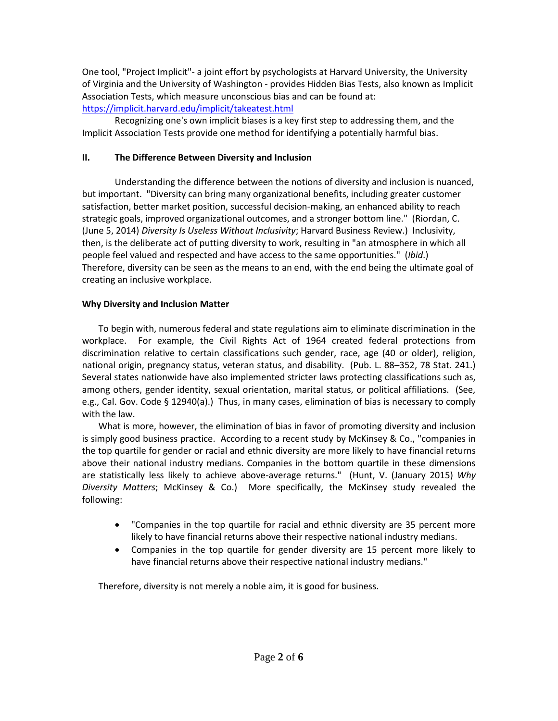One tool, "Project Implicit"- a joint effort by psychologists at Harvard University, the University of Virginia and the University of Washington - provides Hidden Bias Tests, also known as Implicit Association Tests, which measure unconscious bias and can be found at: <https://implicit.harvard.edu/implicit/takeatest.html>

Recognizing one's own implicit biases is a key first step to addressing them, and the Implicit Association Tests provide one method for identifying a potentially harmful bias.

## **II. The Difference Between Diversity and Inclusion**

Understanding the difference between the notions of diversity and inclusion is nuanced, but important. "Diversity can bring many organizational benefits, including greater customer satisfaction, better market position, successful decision-making, an enhanced ability to reach strategic goals, improved organizational outcomes, and a stronger bottom line." (Riordan, C. (June 5, 2014) *Diversity Is Useless Without Inclusivity*; Harvard Business Review.) Inclusivity, then, is the deliberate act of putting diversity to work, resulting in "an atmosphere in which all people feel valued and respected and have access to the same opportunities." (*Ibid*.) Therefore, diversity can be seen as the means to an end, with the end being the ultimate goal of creating an inclusive workplace.

# **Why Diversity and Inclusion Matter**

To begin with, numerous federal and state regulations aim to eliminate discrimination in the workplace. For example, the Civil Rights Act of 1964 created federal protections from discrimination relative to certain classifications such gender, race, age (40 or older), religion, national origin, pregnancy status, veteran status, and disability. (Pub. L. 88–352, 78 Stat. 241.) Several states nationwide have also implemented stricter laws protecting classifications such as, among others, gender identity, sexual orientation, marital status, or political affiliations. (See, e.g., Cal. Gov. Code § 12940(a).) Thus, in many cases, elimination of bias is necessary to comply with the law.

What is more, however, the elimination of bias in favor of promoting diversity and inclusion is simply good business practice. According to a recent study by McKinsey & Co., "companies in the top quartile for gender or racial and ethnic diversity are more likely to have financial returns above their national industry medians. Companies in the bottom quartile in these dimensions are statistically less likely to achieve above-average returns." (Hunt, V. (January 2015) *Why Diversity Matters*; McKinsey & Co.) More specifically, the McKinsey study revealed the following:

- "Companies in the top quartile for racial and ethnic diversity are 35 percent more likely to have financial returns above their respective national industry medians.
- Companies in the top quartile for gender diversity are 15 percent more likely to have financial returns above their respective national industry medians."

Therefore, diversity is not merely a noble aim, it is good for business.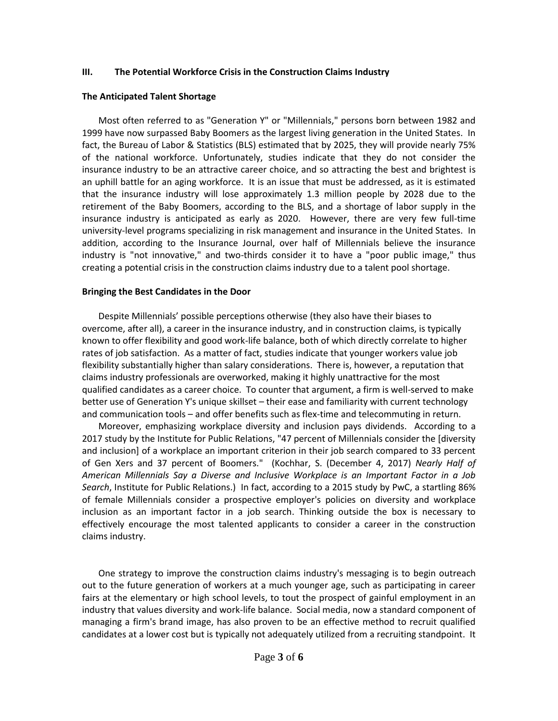#### **III. The Potential Workforce Crisis in the Construction Claims Industry**

#### **The Anticipated Talent Shortage**

Most often referred to as "Generation Y" or "Millennials," persons born between 1982 and 1999 have now surpassed Baby Boomers as the largest living generation in the United States. In fact, the Bureau of Labor & Statistics (BLS) estimated that by 2025, they will provide nearly 75% of the national workforce. Unfortunately, studies indicate that they do not consider the insurance industry to be an attractive career choice, and so attracting the best and brightest is an uphill battle for an aging workforce. It is an issue that must be addressed, as it is estimated that the insurance industry will lose approximately 1.3 million people by 2028 due to the retirement of the Baby Boomers, according to the BLS, and a shortage of labor supply in the insurance industry is anticipated as early as 2020. However, there are very few full-time university-level programs specializing in risk management and insurance in the United States. In addition, according to the Insurance Journal, over half of Millennials believe the insurance industry is "not innovative," and two-thirds consider it to have a "poor public image," thus creating a potential crisis in the construction claims industry due to a talent pool shortage.

#### **Bringing the Best Candidates in the Door**

Despite Millennials' possible perceptions otherwise (they also have their biases to overcome, after all), a career in the insurance industry, and in construction claims, is typically known to offer flexibility and good work-life balance, both of which directly correlate to higher rates of job satisfaction. As a matter of fact, studies indicate that younger workers value job flexibility substantially higher than salary considerations. There is, however, a reputation that claims industry professionals are overworked, making it highly unattractive for the most qualified candidates as a career choice. To counter that argument, a firm is well-served to make better use of Generation Y's unique skillset – their ease and familiarity with current technology and communication tools – and offer benefits such as flex-time and telecommuting in return.

Moreover, emphasizing workplace diversity and inclusion pays dividends. According to a 2017 study by the Institute for Public Relations, "47 percent of Millennials consider the [diversity and inclusion] of a workplace an important criterion in their job search compared to 33 percent of Gen Xers and 37 percent of Boomers." (Kochhar, S. (December 4, 2017) *Nearly Half of American Millennials Say a Diverse and Inclusive Workplace is an Important Factor in a Job Search*, Institute for Public Relations.) In fact, according to a 2015 study by PwC, a startling 86% of female Millennials consider a prospective employer's policies on diversity and workplace inclusion as an important factor in a job search. Thinking outside the box is necessary to effectively encourage the most talented applicants to consider a career in the construction claims industry.

One strategy to improve the construction claims industry's messaging is to begin outreach out to the future generation of workers at a much younger age, such as participating in career fairs at the elementary or high school levels, to tout the prospect of gainful employment in an industry that values diversity and work-life balance. Social media, now a standard component of managing a firm's brand image, has also proven to be an effective method to recruit qualified candidates at a lower cost but is typically not adequately utilized from a recruiting standpoint. It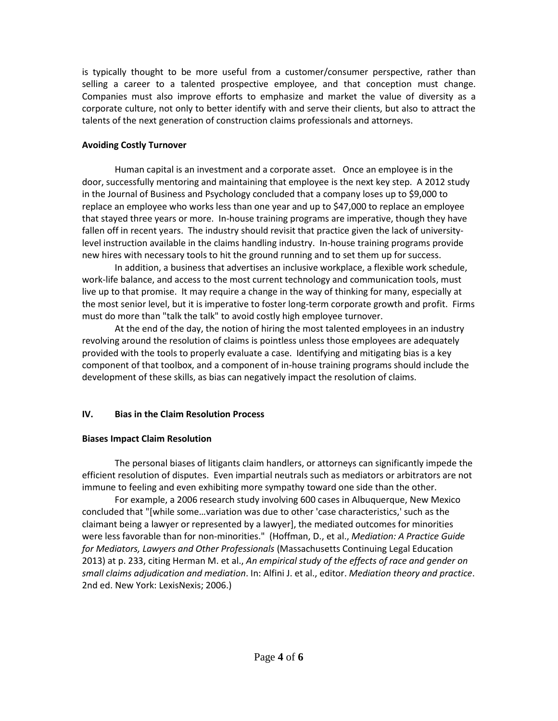is typically thought to be more useful from a customer/consumer perspective, rather than selling a career to a talented prospective employee, and that conception must change. Companies must also improve efforts to emphasize and market the value of diversity as a corporate culture, not only to better identify with and serve their clients, but also to attract the talents of the next generation of construction claims professionals and attorneys.

### **Avoiding Costly Turnover**

Human capital is an investment and a corporate asset. Once an employee is in the door, successfully mentoring and maintaining that employee is the next key step. A 2012 study in the Journal of Business and Psychology concluded that a company loses up to \$9,000 to replace an employee who works less than one year and up to \$47,000 to replace an employee that stayed three years or more. In-house training programs are imperative, though they have fallen off in recent years. The industry should revisit that practice given the lack of universitylevel instruction available in the claims handling industry. In-house training programs provide new hires with necessary tools to hit the ground running and to set them up for success.

In addition, a business that advertises an inclusive workplace, a flexible work schedule, work-life balance, and access to the most current technology and communication tools, must live up to that promise. It may require a change in the way of thinking for many, especially at the most senior level, but it is imperative to foster long-term corporate growth and profit. Firms must do more than "talk the talk" to avoid costly high employee turnover.

At the end of the day, the notion of hiring the most talented employees in an industry revolving around the resolution of claims is pointless unless those employees are adequately provided with the tools to properly evaluate a case. Identifying and mitigating bias is a key component of that toolbox, and a component of in-house training programs should include the development of these skills, as bias can negatively impact the resolution of claims.

# **IV. Bias in the Claim Resolution Process**

# **Biases Impact Claim Resolution**

The personal biases of litigants claim handlers, or attorneys can significantly impede the efficient resolution of disputes. Even impartial neutrals such as mediators or arbitrators are not immune to feeling and even exhibiting more sympathy toward one side than the other.

For example, a 2006 research study involving 600 cases in Albuquerque, New Mexico concluded that "[while some…variation was due to other 'case characteristics,' such as the claimant being a lawyer or represented by a lawyer], the mediated outcomes for minorities were less favorable than for non-minorities." (Hoffman, D., et al., *Mediation: A Practice Guide for Mediators, Lawyers and Other Professionals* (Massachusetts Continuing Legal Education 2013) at p. 233, citing Herman M. et al., *An empirical study of the effects of race and gender on small claims adjudication and mediation*. In: Alfini J. et al., editor. *Mediation theory and practice*. 2nd ed. New York: LexisNexis; 2006.)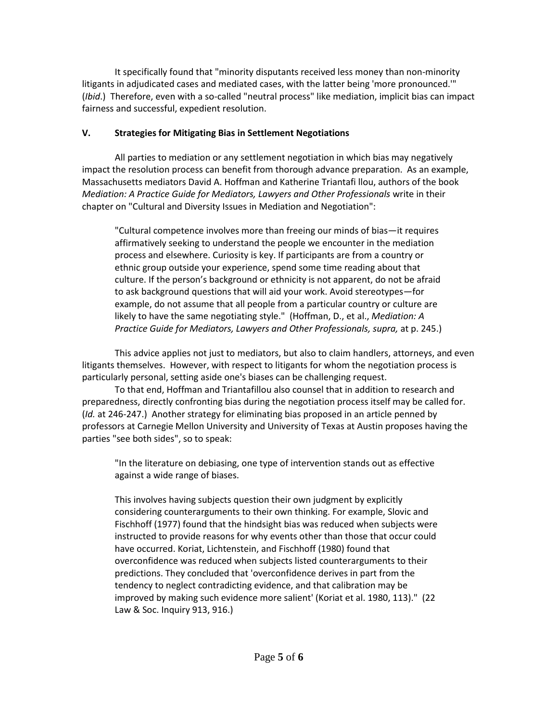It specifically found that "minority disputants received less money than non-minority litigants in adjudicated cases and mediated cases, with the latter being 'more pronounced.'" (*Ibid*.) Therefore, even with a so-called "neutral process" like mediation, implicit bias can impact fairness and successful, expedient resolution.

# **V. Strategies for Mitigating Bias in Settlement Negotiations**

All parties to mediation or any settlement negotiation in which bias may negatively impact the resolution process can benefit from thorough advance preparation. As an example, Massachusetts mediators David A. Hoffman and Katherine Triantafi llou, authors of the book *Mediation: A Practice Guide for Mediators, Lawyers and Other Professionals* write in their chapter on "Cultural and Diversity Issues in Mediation and Negotiation":

"Cultural competence involves more than freeing our minds of bias—it requires affirmatively seeking to understand the people we encounter in the mediation process and elsewhere. Curiosity is key. If participants are from a country or ethnic group outside your experience, spend some time reading about that culture. If the person's background or ethnicity is not apparent, do not be afraid to ask background questions that will aid your work. Avoid stereotypes—for example, do not assume that all people from a particular country or culture are likely to have the same negotiating style." (Hoffman, D., et al., *Mediation: A Practice Guide for Mediators, Lawyers and Other Professionals, supra,* at p. 245.)

This advice applies not just to mediators, but also to claim handlers, attorneys, and even litigants themselves. However, with respect to litigants for whom the negotiation process is particularly personal, setting aside one's biases can be challenging request.

To that end, Hoffman and Triantafillou also counsel that in addition to research and preparedness, directly confronting bias during the negotiation process itself may be called for. (*Id.* at 246-247.) Another strategy for eliminating bias proposed in an article penned by professors at Carnegie Mellon University and University of Texas at Austin proposes having the parties "see both sides", so to speak:

"In the literature on debiasing, one type of intervention stands out as effective against a wide range of biases.

This involves having subjects question their own judgment by explicitly considering counterarguments to their own thinking. For example, Slovic and Fischhoff (1977) found that the hindsight bias was reduced when subjects were instructed to provide reasons for why events other than those that occur could have occurred. Koriat, Lichtenstein, and Fischhoff (1980) found that overconfidence was reduced when subjects listed counterarguments to their predictions. They concluded that 'overconfidence derives in part from the tendency to neglect contradicting evidence, and that calibration may be improved by making such evidence more salient' (Koriat et al. 1980, 113)." (22 Law & Soc. Inquiry 913, 916.)